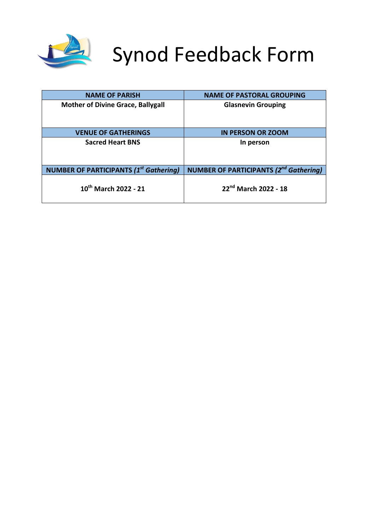

# Synod Feedback Form

| <b>NAME OF PARISH</b>                         | <b>NAME OF PASTORAL GROUPING</b>                         |
|-----------------------------------------------|----------------------------------------------------------|
| <b>Mother of Divine Grace, Ballygall</b>      | <b>Glasnevin Grouping</b>                                |
|                                               |                                                          |
| <b>VENUE OF GATHERINGS</b>                    | <b>IN PERSON OR ZOOM</b>                                 |
| <b>Sacred Heart BNS</b>                       | In person                                                |
|                                               |                                                          |
| <b>NUMBER OF PARTICIPANTS (1st Gathering)</b> | <b>NUMBER OF PARTICIPANTS (2<sup>nd</sup> Gathering)</b> |
| $10^{th}$ March 2022 - 21                     | 22nd March 2022 - 18                                     |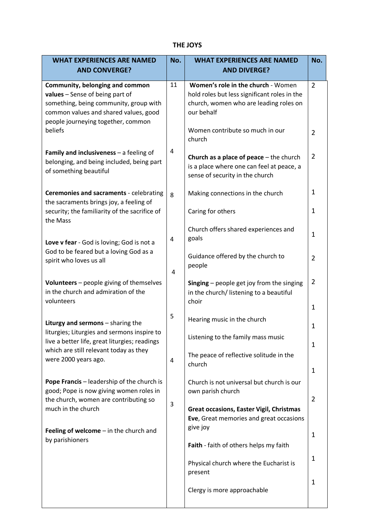# **THE JOYS**

| <b>WHAT EXPERIENCES ARE NAMED</b><br><b>AND CONVERGE?</b>                                                                                                                                   | No. | <b>WHAT EXPERIENCES ARE NAMED</b><br><b>AND DIVERGE?</b>                                                                                   | No.                 |
|---------------------------------------------------------------------------------------------------------------------------------------------------------------------------------------------|-----|--------------------------------------------------------------------------------------------------------------------------------------------|---------------------|
| Community, belonging and common<br>values - Sense of being part of<br>something, being community, group with<br>common values and shared values, good<br>people journeying together, common | 11  | Women's role in the church - Women<br>hold roles but less significant roles in the<br>church, women who are leading roles on<br>our behalf | $\overline{2}$      |
| beliefs                                                                                                                                                                                     |     | Women contribute so much in our<br>church                                                                                                  | $\overline{2}$      |
| Family and inclusiveness $-$ a feeling of<br>belonging, and being included, being part<br>of something beautiful                                                                            | 4   | Church as a place of peace $-$ the church<br>is a place where one can feel at peace, a<br>sense of security in the church                  | $\overline{2}$      |
| Ceremonies and sacraments - celebrating<br>the sacraments brings joy, a feeling of                                                                                                          | 8   | Making connections in the church                                                                                                           | 1                   |
| security; the familiarity of the sacrifice of<br>the Mass                                                                                                                                   |     | Caring for others                                                                                                                          | $\mathbf{1}$        |
| Love v fear - God is loving; God is not a                                                                                                                                                   | 4   | Church offers shared experiences and<br>goals                                                                                              | 1                   |
| God to be feared but a loving God as a<br>spirit who loves us all                                                                                                                           | 4   | Guidance offered by the church to<br>people                                                                                                | $\overline{2}$      |
| Volunteers - people giving of themselves<br>in the church and admiration of the<br>volunteers                                                                                               |     | Singing $-$ people get joy from the singing<br>in the church/ listening to a beautiful<br>choir                                            | $\overline{2}$<br>1 |
| Liturgy and sermons - sharing the                                                                                                                                                           | 5   | Hearing music in the church                                                                                                                | 1                   |
| liturgies; Liturgies and sermons inspire to<br>live a better life, great liturgies; readings                                                                                                |     | Listening to the family mass music                                                                                                         | 1                   |
| which are still relevant today as they<br>were 2000 years ago.                                                                                                                              | 4   | The peace of reflective solitude in the<br>church                                                                                          |                     |
| <b>Pope Francis</b> – leadership of the church is                                                                                                                                           |     | Church is not universal but church is our                                                                                                  | 1                   |
| good; Pope is now giving women roles in<br>the church, women are contributing so                                                                                                            | 3   | own parish church                                                                                                                          | $\overline{2}$      |
| much in the church<br>Feeling of welcome $-$ in the church and                                                                                                                              |     | <b>Great occasions, Easter Vigil, Christmas</b><br>Eve, Great memories and great occasions<br>give joy                                     |                     |
| by parishioners                                                                                                                                                                             |     | Faith - faith of others helps my faith                                                                                                     | 1                   |
|                                                                                                                                                                                             |     | Physical church where the Eucharist is<br>present                                                                                          | 1                   |
|                                                                                                                                                                                             |     | Clergy is more approachable                                                                                                                | 1                   |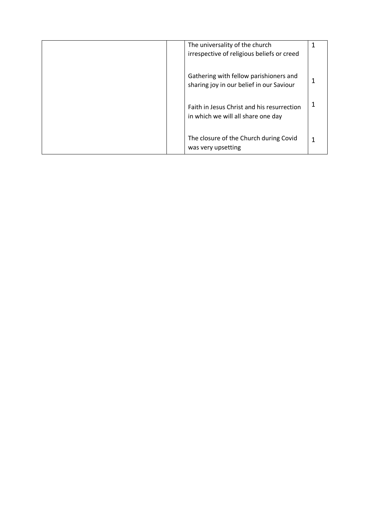|  | The universality of the church<br>irrespective of religious beliefs or creed       |  |
|--|------------------------------------------------------------------------------------|--|
|  | Gathering with fellow parishioners and<br>sharing joy in our belief in our Saviour |  |
|  | Faith in Jesus Christ and his resurrection<br>in which we will all share one day   |  |
|  | The closure of the Church during Covid<br>was very upsetting                       |  |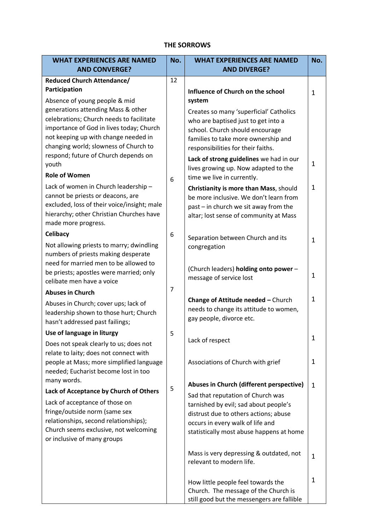## **THE SORROWS**

| <b>WHAT EXPERIENCES ARE NAMED</b>                                                | No.            | <b>WHAT EXPERIENCES ARE NAMED</b>                                                  | No.          |
|----------------------------------------------------------------------------------|----------------|------------------------------------------------------------------------------------|--------------|
| <b>AND CONVERGE?</b>                                                             |                | <b>AND DIVERGE?</b>                                                                |              |
| <b>Reduced Church Attendance/</b>                                                | 12             |                                                                                    |              |
| Participation                                                                    |                | Influence of Church on the school                                                  | $\mathbf{1}$ |
| Absence of young people & mid                                                    |                | system                                                                             |              |
| generations attending Mass & other                                               |                | Creates so many 'superficial' Catholics                                            |              |
| celebrations; Church needs to facilitate                                         |                | who are baptised just to get into a                                                |              |
| importance of God in lives today; Church                                         |                | school. Church should encourage                                                    |              |
| not keeping up with change needed in<br>changing world; slowness of Church to    |                | families to take more ownership and                                                |              |
| respond; future of Church depends on                                             |                | responsibilities for their faiths.                                                 |              |
| youth                                                                            |                | Lack of strong guidelines we had in our                                            | 1            |
| <b>Role of Women</b>                                                             | 6              | lives growing up. Now adapted to the<br>time we live in currently.                 |              |
| Lack of women in Church leadership -                                             |                | Christianity is more than Mass, should                                             | 1            |
| cannot be priests or deacons, are                                                |                | be more inclusive. We don't learn from                                             |              |
| excluded, loss of their voice/insight; male                                      |                | past - in church we sit away from the                                              |              |
| hierarchy; other Christian Churches have                                         |                | altar; lost sense of community at Mass                                             |              |
| made more progress.                                                              |                |                                                                                    |              |
| Celibacy                                                                         | 6              | Separation between Church and its                                                  | $\mathbf{1}$ |
| Not allowing priests to marry; dwindling                                         |                | congregation                                                                       |              |
| numbers of priests making desperate<br>need for married men to be allowed to     |                |                                                                                    |              |
| be priests; apostles were married; only                                          |                | (Church leaders) holding onto power -                                              |              |
| celibate men have a voice                                                        |                | message of service lost                                                            | 1            |
| <b>Abuses in Church</b>                                                          | $\overline{7}$ |                                                                                    |              |
| Abuses in Church; cover ups; lack of                                             |                | Change of Attitude needed - Church                                                 | 1            |
| leadership shown to those hurt; Church                                           |                | needs to change its attitude to women,                                             |              |
| hasn't addressed past failings;                                                  |                | gay people, divorce etc.                                                           |              |
| Use of language in liturgy                                                       | 5              |                                                                                    | $\mathbf 1$  |
| Does not speak clearly to us; does not                                           |                | Lack of respect                                                                    |              |
| relate to laity; does not connect with                                           |                |                                                                                    |              |
| people at Mass; more simplified language<br>needed; Eucharist become lost in too |                | Associations of Church with grief                                                  | 1            |
| many words.                                                                      |                |                                                                                    |              |
| Lack of Acceptance by Church of Others                                           | 5              | Abuses in Church (different perspective)                                           | $\mathbf{1}$ |
| Lack of acceptance of those on                                                   |                | Sad that reputation of Church was<br>tarnished by evil; sad about people's         |              |
| fringe/outside norm (same sex                                                    |                | distrust due to others actions; abuse                                              |              |
| relationships, second relationships);                                            |                | occurs in every walk of life and                                                   |              |
| Church seems exclusive, not welcoming                                            |                | statistically most abuse happens at home                                           |              |
| or inclusive of many groups                                                      |                |                                                                                    |              |
|                                                                                  |                | Mass is very depressing & outdated, not                                            | 1            |
|                                                                                  |                | relevant to modern life.                                                           |              |
|                                                                                  |                |                                                                                    |              |
|                                                                                  |                | How little people feel towards the                                                 | 1            |
|                                                                                  |                | Church. The message of the Church is<br>still good but the messengers are fallible |              |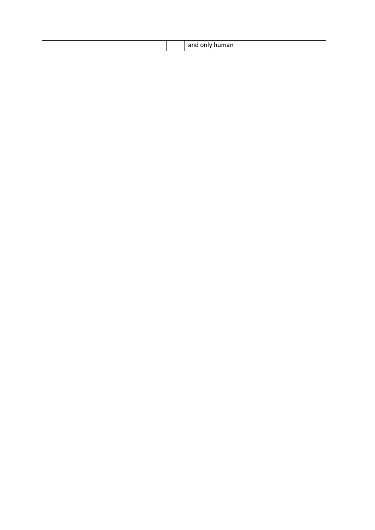|  | $ -$ |  |
|--|------|--|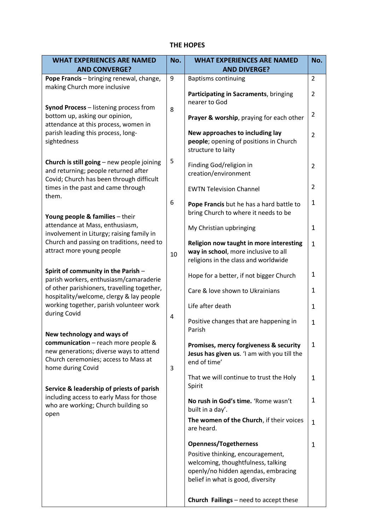## **THE HOPES**

| <b>WHAT EXPERIENCES ARE NAMED</b>                                                                                                                                         | No. | <b>WHAT EXPERIENCES ARE NAMED</b>                                                                                                                   | No.            |
|---------------------------------------------------------------------------------------------------------------------------------------------------------------------------|-----|-----------------------------------------------------------------------------------------------------------------------------------------------------|----------------|
| <b>AND CONVERGE?</b>                                                                                                                                                      |     | <b>AND DIVERGE?</b>                                                                                                                                 |                |
| Pope Francis - bringing renewal, change,                                                                                                                                  | 9   | <b>Baptisms continuing</b>                                                                                                                          | 2              |
| making Church more inclusive                                                                                                                                              |     | Participating in Sacraments, bringing<br>nearer to God                                                                                              | $\overline{2}$ |
| Synod Process - listening process from<br>bottom up, asking our opinion,<br>attendance at this process, women in                                                          | 8   | Prayer & worship, praying for each other                                                                                                            | $\overline{2}$ |
| parish leading this process, long-<br>sightedness                                                                                                                         |     | New approaches to including lay<br>people; opening of positions in Church<br>structure to laity                                                     | $\overline{2}$ |
| Church is still going $-$ new people joining<br>and returning; people returned after<br>Covid; Church has been through difficult                                          | 5   | Finding God/religion in<br>creation/environment                                                                                                     | $\overline{2}$ |
| times in the past and came through<br>them.                                                                                                                               |     | <b>EWTN Television Channel</b>                                                                                                                      | $\overline{2}$ |
| Young people & families - their                                                                                                                                           | 6   | Pope Francis but he has a hard battle to<br>bring Church to where it needs to be                                                                    | $\mathbf{1}$   |
| attendance at Mass, enthusiasm,<br>involvement in Liturgy; raising family in                                                                                              |     | My Christian upbringing                                                                                                                             | 1              |
| Church and passing on traditions, need to<br>attract more young people                                                                                                    | 10  | Religion now taught in more interesting<br>way in school, more inclusive to all<br>religions in the class and worldwide                             | $\mathbf{1}$   |
| Spirit of community in the Parish -<br>parish workers, enthusiasm/camaraderie                                                                                             |     | Hope for a better, if not bigger Church                                                                                                             | 1              |
| of other parishioners, travelling together,<br>hospitality/welcome, clergy & lay people                                                                                   |     | Care & love shown to Ukrainians                                                                                                                     | 1              |
| working together, parish volunteer work<br>during Covid                                                                                                                   |     | Life after death                                                                                                                                    | 1              |
|                                                                                                                                                                           | 4   | Positive changes that are happening in<br>Parish                                                                                                    | $\mathbf{1}$   |
| New technology and ways of<br>communication - reach more people &<br>new generations; diverse ways to attend<br>Church ceremonies; access to Mass at<br>home during Covid | 3   | Promises, mercy forgiveness & security<br>Jesus has given us. 'I am with you till the<br>end of time'                                               | $\mathbf{1}$   |
| Service & leadership of priests of parish                                                                                                                                 |     | That we will continue to trust the Holy<br>Spirit                                                                                                   | $\mathbf{1}$   |
| including access to early Mass for those<br>who are working; Church building so<br>open                                                                                   |     | No rush in God's time. 'Rome wasn't<br>built in a day'.                                                                                             | 1              |
|                                                                                                                                                                           |     | The women of the Church, if their voices<br>are heard.                                                                                              | $\mathbf{1}$   |
|                                                                                                                                                                           |     | <b>Openness/Togetherness</b>                                                                                                                        | $\mathbf{1}$   |
|                                                                                                                                                                           |     | Positive thinking, encouragement,<br>welcoming, thoughtfulness, talking<br>openly/no hidden agendas, embracing<br>belief in what is good, diversity |                |
|                                                                                                                                                                           |     | Church Failings - need to accept these                                                                                                              |                |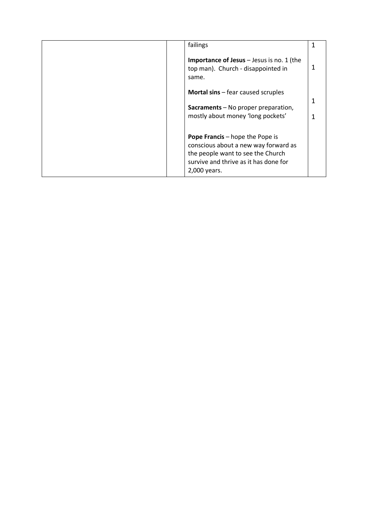|  | failings                                                                                                                                                                     |  |
|--|------------------------------------------------------------------------------------------------------------------------------------------------------------------------------|--|
|  | <b>Importance of Jesus</b> - Jesus is no. 1 (the<br>top man). Church - disappointed in<br>same.                                                                              |  |
|  | <b>Mortal sins</b> – fear caused scruples                                                                                                                                    |  |
|  | Sacraments - No proper preparation,<br>mostly about money 'long pockets'                                                                                                     |  |
|  | <b>Pope Francis</b> – hope the Pope is<br>conscious about a new way forward as<br>the people want to see the Church<br>survive and thrive as it has done for<br>2,000 years. |  |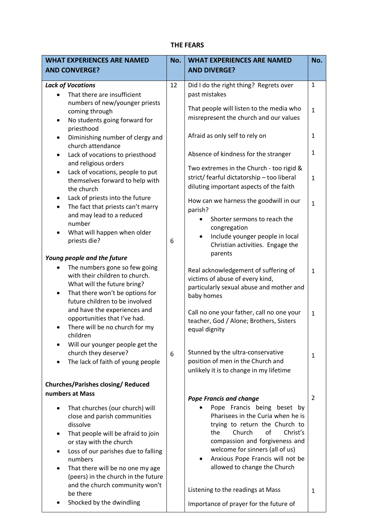# **THE FEARS**

| <b>WHAT EXPERIENCES ARE NAMED</b>                                                                                                                                                                                                                                                   | No. | <b>WHAT EXPERIENCES ARE NAMED</b>                                                                                                                                                                                                                                              | No.            |
|-------------------------------------------------------------------------------------------------------------------------------------------------------------------------------------------------------------------------------------------------------------------------------------|-----|--------------------------------------------------------------------------------------------------------------------------------------------------------------------------------------------------------------------------------------------------------------------------------|----------------|
| <b>AND CONVERGE?</b>                                                                                                                                                                                                                                                                |     | <b>AND DIVERGE?</b>                                                                                                                                                                                                                                                            |                |
| <b>Lack of Vocations</b><br>That there are insufficient                                                                                                                                                                                                                             | 12  | Did I do the right thing? Regrets over<br>past mistakes                                                                                                                                                                                                                        | $\mathbf{1}$   |
| numbers of new/younger priests<br>coming through<br>No students going forward for<br>٠<br>priesthood                                                                                                                                                                                |     | That people will listen to the media who<br>misrepresent the church and our values                                                                                                                                                                                             | $\mathbf{1}$   |
| Diminishing number of clergy and<br>$\bullet$<br>church attendance                                                                                                                                                                                                                  |     | Afraid as only self to rely on                                                                                                                                                                                                                                                 | 1              |
| Lack of vocations to priesthood<br>٠<br>and religious orders                                                                                                                                                                                                                        |     | Absence of kindness for the stranger                                                                                                                                                                                                                                           | $\mathbf{1}$   |
| Lack of vocations, people to put<br>$\bullet$<br>themselves forward to help with<br>the church                                                                                                                                                                                      |     | Two extremes in the Church - too rigid &<br>strict/ fearful dictatorship - too liberal<br>diluting important aspects of the faith                                                                                                                                              | $\mathbf{1}$   |
| Lack of priests into the future<br>$\bullet$<br>The fact that priests can't marry<br>$\bullet$<br>and may lead to a reduced<br>number<br>What will happen when older<br>priests die?                                                                                                | 6   | How can we harness the goodwill in our<br>parish?<br>Shorter sermons to reach the<br>congregation<br>Include younger people in local<br>$\bullet$<br>Christian activities. Engage the                                                                                          | $\mathbf{1}$   |
| Young people and the future                                                                                                                                                                                                                                                         |     | parents                                                                                                                                                                                                                                                                        |                |
| The numbers gone so few going<br>٠<br>with their children to church.<br>What will the future bring?<br>That there won't be options for<br>$\bullet$<br>future children to be involved                                                                                               |     | Real acknowledgement of suffering of<br>victims of abuse of every kind,<br>particularly sexual abuse and mother and<br>baby homes                                                                                                                                              | $\mathbf{1}$   |
| and have the experiences and<br>opportunities that I've had.<br>There will be no church for my<br>children                                                                                                                                                                          |     | Call no one your father, call no one your<br>teacher, God / Alone; Brothers, Sisters<br>equal dignity                                                                                                                                                                          | $\mathbf{1}$   |
| Will our younger people get the<br>church they deserve?<br>The lack of faith of young people                                                                                                                                                                                        | 6   | Stunned by the ultra-conservative<br>position of men in the Church and<br>unlikely it is to change in my lifetime                                                                                                                                                              | 1              |
| <b>Churches/Parishes closing/ Reduced</b><br>numbers at Mass                                                                                                                                                                                                                        |     | <b>Pope Francis and change</b>                                                                                                                                                                                                                                                 | $\overline{2}$ |
| That churches (our church) will<br>close and parish communities<br>dissolve<br>That people will be afraid to join<br>٠<br>or stay with the church<br>Loss of our parishes due to falling<br>٠<br>numbers<br>That there will be no one my age<br>(peers) in the church in the future |     | Pope Francis being beset by<br>Pharisees in the Curia when he is<br>trying to return the Church to<br>Church<br>of<br>the<br>Christ's<br>compassion and forgiveness and<br>welcome for sinners (all of us)<br>Anxious Pope Francis will not be<br>allowed to change the Church |                |
| and the church community won't<br>be there<br>Shocked by the dwindling                                                                                                                                                                                                              |     | Listening to the readings at Mass<br>Importance of prayer for the future of                                                                                                                                                                                                    | 1              |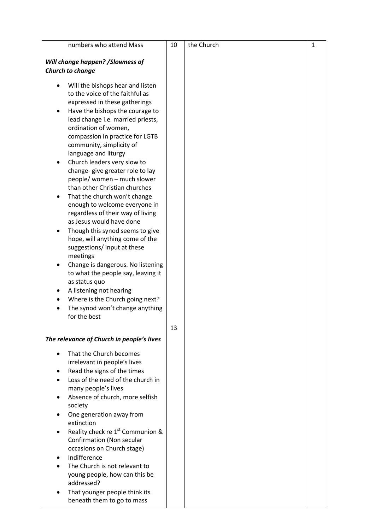| numbers who attend Mass                                            | 10 | the Church | $\mathbf{1}$ |
|--------------------------------------------------------------------|----|------------|--------------|
|                                                                    |    |            |              |
| Will change happen? / Slowness of                                  |    |            |              |
| Church to change                                                   |    |            |              |
| Will the bishops hear and listen                                   |    |            |              |
| to the voice of the faithful as                                    |    |            |              |
| expressed in these gatherings                                      |    |            |              |
| Have the bishops the courage to<br>٠                               |    |            |              |
| lead change i.e. married priests,                                  |    |            |              |
| ordination of women,                                               |    |            |              |
| compassion in practice for LGTB                                    |    |            |              |
| community, simplicity of                                           |    |            |              |
| language and liturgy                                               |    |            |              |
| Church leaders very slow to                                        |    |            |              |
| change-give greater role to lay                                    |    |            |              |
| people/ women - much slower                                        |    |            |              |
| than other Christian churches                                      |    |            |              |
| That the church won't change                                       |    |            |              |
| enough to welcome everyone in                                      |    |            |              |
| regardless of their way of living<br>as Jesus would have done      |    |            |              |
|                                                                    |    |            |              |
| Though this synod seems to give<br>hope, will anything come of the |    |            |              |
| suggestions/input at these                                         |    |            |              |
| meetings                                                           |    |            |              |
| Change is dangerous. No listening                                  |    |            |              |
| to what the people say, leaving it                                 |    |            |              |
| as status quo                                                      |    |            |              |
| A listening not hearing                                            |    |            |              |
| Where is the Church going next?                                    |    |            |              |
| The synod won't change anything                                    |    |            |              |
| for the best                                                       |    |            |              |
|                                                                    | 13 |            |              |
| The relevance of Church in people's lives                          |    |            |              |
|                                                                    |    |            |              |
| That the Church becomes<br>$\bullet$                               |    |            |              |
| irrelevant in people's lives                                       |    |            |              |
| Read the signs of the times                                        |    |            |              |
| Loss of the need of the church in                                  |    |            |              |
| many people's lives                                                |    |            |              |
| Absence of church, more selfish                                    |    |            |              |
| society                                                            |    |            |              |
| One generation away from<br>extinction                             |    |            |              |
| Reality check re 1 <sup>st</sup> Communion &                       |    |            |              |
| Confirmation (Non secular                                          |    |            |              |
| occasions on Church stage)                                         |    |            |              |
| Indifference                                                       |    |            |              |
| The Church is not relevant to                                      |    |            |              |
| young people, how can this be                                      |    |            |              |
| addressed?                                                         |    |            |              |
| That younger people think its                                      |    |            |              |
| beneath them to go to mass                                         |    |            |              |
|                                                                    |    |            |              |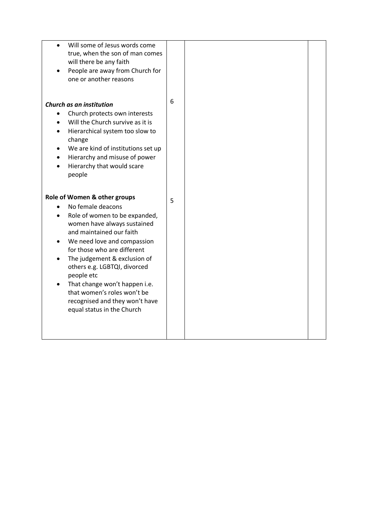| Will some of Jesus words come             |   |  |
|-------------------------------------------|---|--|
| true, when the son of man comes           |   |  |
| will there be any faith                   |   |  |
| People are away from Church for           |   |  |
| one or another reasons                    |   |  |
|                                           |   |  |
|                                           |   |  |
| Church as an institution                  | 6 |  |
| Church protects own interests             |   |  |
| Will the Church survive as it is          |   |  |
| Hierarchical system too slow to           |   |  |
| change                                    |   |  |
| We are kind of institutions set up        |   |  |
| Hierarchy and misuse of power             |   |  |
| Hierarchy that would scare                |   |  |
| people                                    |   |  |
|                                           |   |  |
|                                           |   |  |
| Role of Women & other groups              |   |  |
| No female deacons                         | 5 |  |
| Role of women to be expanded,             |   |  |
| women have always sustained               |   |  |
| and maintained our faith                  |   |  |
| We need love and compassion<br>$\bullet$  |   |  |
| for those who are different               |   |  |
|                                           |   |  |
| The judgement & exclusion of<br>$\bullet$ |   |  |
| others e.g. LGBTQI, divorced              |   |  |
| people etc                                |   |  |
| That change won't happen i.e.             |   |  |
| that women's roles won't be               |   |  |
| recognised and they won't have            |   |  |
| equal status in the Church                |   |  |
|                                           |   |  |
|                                           |   |  |
|                                           |   |  |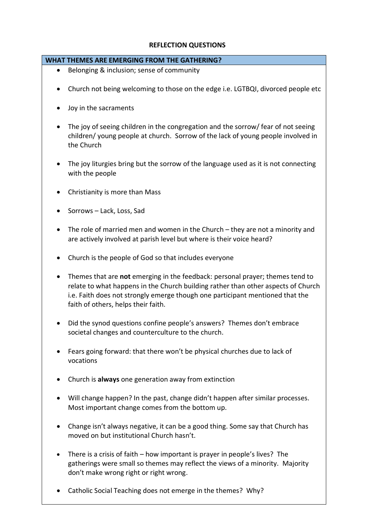### **REFLECTION QUESTIONS**

#### **WHAT THEMES ARE EMERGING FROM THE GATHERING?**

- Belonging & inclusion; sense of community
- Church not being welcoming to those on the edge i.e. LGTBQI, divorced people etc
- Joy in the sacraments
- The joy of seeing children in the congregation and the sorrow/ fear of not seeing children/ young people at church. Sorrow of the lack of young people involved in the Church
- The joy liturgies bring but the sorrow of the language used as it is not connecting with the people
- Christianity is more than Mass
- Sorrows Lack, Loss, Sad
- The role of married men and women in the Church they are not a minority and are actively involved at parish level but where is their voice heard?
- Church is the people of God so that includes everyone
- Themes that are **not** emerging in the feedback: personal prayer; themes tend to relate to what happens in the Church building rather than other aspects of Church i.e. Faith does not strongly emerge though one participant mentioned that the faith of others, helps their faith.
- Did the synod questions confine people's answers? Themes don't embrace societal changes and counterculture to the church.
- Fears going forward: that there won't be physical churches due to lack of vocations
- Church is **always** one generation away from extinction
- Will change happen? In the past, change didn't happen after similar processes. Most important change comes from the bottom up.
- Change isn't always negative, it can be a good thing. Some say that Church has moved on but institutional Church hasn't.
- There is a crisis of faith how important is prayer in people's lives? The gatherings were small so themes may reflect the views of a minority. Majority don't make wrong right or right wrong.
- Catholic Social Teaching does not emerge in the themes? Why?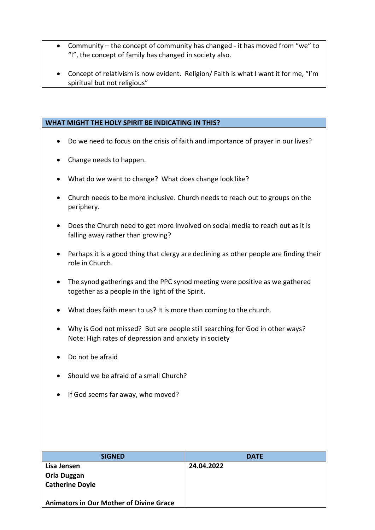- Community the concept of community has changed it has moved from "we" to "I", the concept of family has changed in society also.
- Concept of relativism is now evident. Religion/ Faith is what I want it for me, "I'm spiritual but not religious"

#### **WHAT MIGHT THE HOLY SPIRIT BE INDICATING IN THIS?**

- Do we need to focus on the crisis of faith and importance of prayer in our lives?
- Change needs to happen.
- What do we want to change? What does change look like?
- Church needs to be more inclusive. Church needs to reach out to groups on the periphery.
- Does the Church need to get more involved on social media to reach out as it is falling away rather than growing?
- Perhaps it is a good thing that clergy are declining as other people are finding their role in Church.
- The synod gatherings and the PPC synod meeting were positive as we gathered together as a people in the light of the Spirit.
- What does faith mean to us? It is more than coming to the church.
- Why is God not missed? But are people still searching for God in other ways? Note: High rates of depression and anxiety in society
- Do not be afraid
- Should we be afraid of a small Church?
- If God seems far away, who moved?

| <b>SIGNED</b>                                  | <b>DATE</b> |
|------------------------------------------------|-------------|
| Lisa Jensen                                    | 24.04.2022  |
| <b>Orla Duggan</b>                             |             |
| <b>Catherine Doyle</b>                         |             |
|                                                |             |
| <b>Animators in Our Mother of Divine Grace</b> |             |